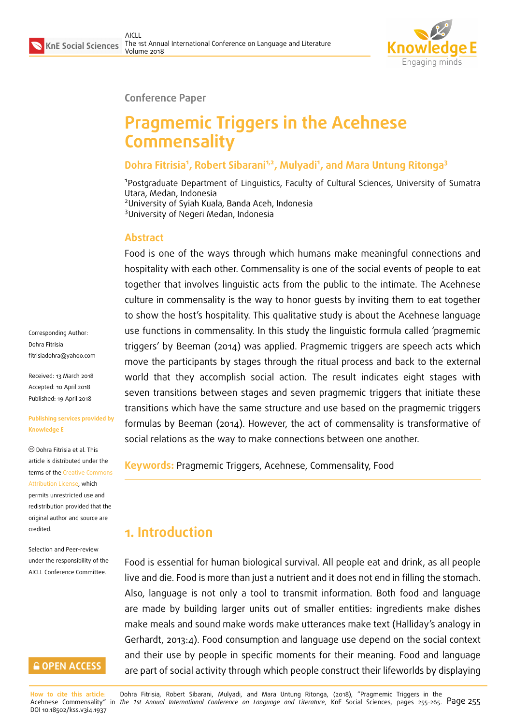

**Conference Paper**

# **Pragmemic Triggers in the Acehnese Commensality**

### **Dohra Fitrisia<sup>1</sup> , Robert Sibarani1,2, Mulyadi<sup>1</sup> , and Mara Untung Ritonga<sup>3</sup>**

<sup>1</sup>Postgraduate Department of Linguistics, Faculty of Cultural Sciences, University of Sumatra Utara, Medan, Indonesia <sup>2</sup>University of Syiah Kuala, Banda Aceh, Indonesia <sup>3</sup>University of Negeri Medan, Indonesia

### **Abstract**

Food is one of the ways through which humans make meaningful connections and hospitality with each other. Commensality is one of the social events of people to eat together that involves linguistic acts from the public to the intimate. The Acehnese culture in commensality is the way to honor guests by inviting them to eat together to show the host's hospitality. This qualitative study is about the Acehnese language use functions in commensality. In this study the linguistic formula called 'pragmemic triggers' by Beeman (2014) was applied. Pragmemic triggers are speech acts which move the participants by stages through the ritual process and back to the external world that they accomplish social action. The result indicates eight stages with seven transitions between stages and seven pragmemic triggers that initiate these transitions which have the same structure and use based on the pragmemic triggers formulas by Beeman (2014). However, the act of commensality is transformative of social relations as the way to make connections between one another.

**Keywords:** Pragmemic Triggers, Acehnese, Commensality, Food

# **1. Introduction**

Food is essential for human biological survival. All people eat and drink, as all people live and die. Food is more than just a nutrient and it does not end in filling the stomach. Also, language is not only a tool to transmit information. Both food and language are made by building larger units out of smaller entities: ingredients make dishes make meals and sound make words make utterances make text (Halliday's analogy in Gerhardt, 2013:4). Food consumption and language use depend on the social context and their use by people in specific moments for their meaning. Food and language are part of social activity through which people construct their lifeworlds by displaying

Corresponding Author: Dohra Fitrisia fitrisiadohra@yahoo.com

Received: 13 March 2018 Accepted: 10 April 2018 [Published: 19 April 2018](mailto:fitrisiadohra@yahoo.com)

#### **Publishing services provided by Knowledge E**

Dohra Fitrisia et al. This article is distributed under the terms of the Creative Commons Attribution License, which permits unrestricted use and redistribution provided that the original auth[or and source are](https://creativecommons.org/licenses/by/4.0/) [credited.](https://creativecommons.org/licenses/by/4.0/)

Selection and Peer-review under the responsibility of the AICLL Conference Committee.

### **GOPEN ACCESS**

**How to cite this article**: Dohra Fitrisia, Robert Sibarani, Mulyadi, and Mara Untung Ritonga, (2018), "Pragmemic Triggers in the Acehnese Commensality" in *The 1st Annual International Conference on Language and Literature*, KnE Social Sciences, pages 255–265. Page 255 DOI 10.18502/kss.v3i4.1937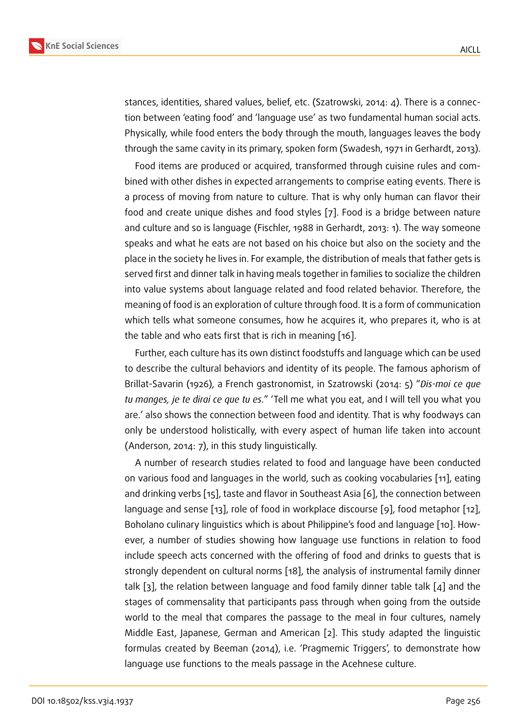stances, identities, shared values, belief, etc. (Szatrowski, 2014: 4). There is a connection between 'eating food' and 'language use' as two fundamental human social acts. Physically, while food enters the body through the mouth, languages leaves the body through the same cavity in its primary, spoken form (Swadesh, 1971 in Gerhardt, 2013).

Food items are produced or acquired, transformed through cuisine rules and combined with other dishes in expected arrangements to comprise eating events. There is a process of moving from nature to culture. That is why only human can flavor their food and create unique dishes and food styles [7]. Food is a bridge between nature and culture and so is language (Fischler, 1988 in Gerhardt, 2013: 1). The way someone speaks and what he eats are not based on his choice but also on the society and the place in the society he lives in. For example, the d[is](#page-9-0)tribution of meals that father gets is served first and dinner talk in having meals together in families to socialize the children into value systems about language related and food related behavior. Therefore, the meaning of food is an exploration of culture through food. It is a form of communication which tells what someone consumes, how he acquires it, who prepares it, who is at the table and who eats first that is rich in meaning [16].

Further, each culture has its own distinct foodstuffs and language which can be used to describe the cultural behaviors and identity of its people. The famous aphorism of Brillat-Savarin (1926), a French gastronomist, in Sz[atro](#page-10-0)wski (2014: 5) "*Dis-moi ce que tu manges, je te dirai ce que tu es*." 'Tell me what you eat, and I will tell you what you are.' also shows the connection between food and identity. That is why foodways can only be understood holistically, with every aspect of human life taken into account (Anderson, 2014: 7), in this study linguistically.

A number of research studies related to food and language have been conducted on various food and languages in the world, such as cooking vocabularies [11], eating and drinking verbs [15], taste and flavor in Southeast Asia [6], the connection between language and sense [13], role of food in workplace discourse [9], food metaphor [12], Boholano culinary linguistics which is about Philippine's food and language [\[10](#page-10-1)]. However, a number of [stu](#page-10-2)dies showing how language use f[un](#page-9-1)ctions in relation to food include speech acts [con](#page-10-3)cerned with the offering of food and [dr](#page-9-2)inks to guests th[at i](#page-10-4)s strongly dependent on cultural norms [18], the analysis of instrumental fa[mily](#page-9-3) dinner talk [3], the relation between language and food family dinner table talk [4] and the stages of commensality that participants pass through when going from the outside world to the meal that compares the [pas](#page-10-5)sage to the meal in four cultures, namely Midd[le](#page-9-4) East, Japanese, German and American [2]. This study adapted th[e](#page-9-5) linguistic formulas created by Beeman (2014), i.e. 'Pragmemic Triggers', to demonstrate how language use functions to the meals passage in the Acehnese culture.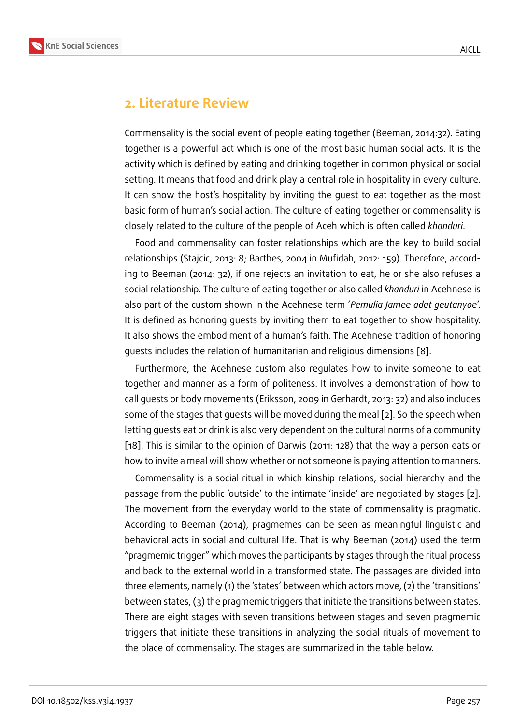### **2. Literature Review**

Commensality is the social event of people eating together (Beeman, 2014:32). Eating together is a powerful act which is one of the most basic human social acts. It is the activity which is defined by eating and drinking together in common physical or social setting. It means that food and drink play a central role in hospitality in every culture. It can show the host's hospitality by inviting the guest to eat together as the most basic form of human's social action. The culture of eating together or commensality is closely related to the culture of the people of Aceh which is often called *khanduri*.

Food and commensality can foster relationships which are the key to build social relationships (Stajcic, 2013: 8; Barthes, 2004 in Mufidah, 2012: 159). Therefore, according to Beeman (2014: 32), if one rejects an invitation to eat, he or she also refuses a social relationship. The culture of eating together or also called *khanduri* in Acehnese is also part of the custom shown in the Acehnese term '*Pemulia Jamee adat geutanyoe*'. It is defined as honoring guests by inviting them to eat together to show hospitality. It also shows the embodiment of a human's faith. The Acehnese tradition of honoring guests includes the relation of humanitarian and religious dimensions [8].

Furthermore, the Acehnese custom also regulates how to invite someone to eat together and manner as a form of politeness. It involves a demonstration of how to call guests or body movements (Eriksson, 2009 in Gerhardt, 2013: 32) a[nd](#page-9-6) also includes some of the stages that guests will be moved during the meal [2]. So the speech when letting guests eat or drink is also very dependent on the cultural norms of a community [18]. This is similar to the opinion of Darwis (2011: 128) that the way a person eats or how to invite a meal will show whether or not someone is payin[g](#page-9-7) attention to manners.

Commensality is a social ritual in which kinship relations, social hierarchy and the [pas](#page-10-5)sage from the public 'outside' to the intimate 'inside' are negotiated by stages [2]. The movement from the everyday world to the state of commensality is pragmatic. According to Beeman (2014), pragmemes can be seen as meaningful linguistic and behavioral acts in social and cultural life. That is why Beeman (2014) used the te[rm](#page-9-7) "pragmemic trigger" which moves the participants by stages through the ritual process and back to the external world in a transformed state. The passages are divided into three elements, namely (1) the 'states' between which actors move, (2) the 'transitions' between states, (3) the pragmemic triggers that initiate the transitions between states. There are eight stages with seven transitions between stages and seven pragmemic triggers that initiate these transitions in analyzing the social rituals of movement to the place of commensality. The stages are summarized in the table below.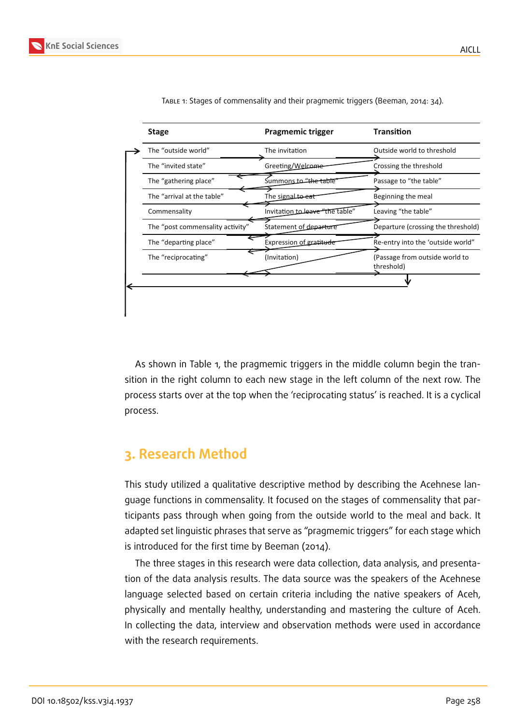

| <b>Stage</b>                     | <b>Pragmemic trigger</b>        | <b>Transition</b>                            |
|----------------------------------|---------------------------------|----------------------------------------------|
| The "outside world"              | The invitation                  | Outside world to threshold                   |
| The "invited state"              | Greeting/Welcome                | Crossing the threshold                       |
| The "gathering place"            | Summonsto "the table"           | Passage to "the table"                       |
| The "arrival at the table"       | The signal to eat               | Beginning the meal                           |
| Commensality                     | Invitation to leave "the table" | Leaving "the table"                          |
| The "post commensality activity" | Statement of departure          | Departure (crossing the threshold)           |
| The "departing place"            | Expression of gratitude         | Re-entry into the 'outside world"            |
| The "reciprocating"              | (Invitation)                    | (Passage from outside world to<br>threshold) |
|                                  |                                 |                                              |

Table 1: Stages of commensality and their pragmemic triggers (Beeman, 2014: 34).

As shown in Table 1, the pragmemic triggers in the middle column begin the transition in the right column to each new stage in the left column of the next row. The process starts over at the top when the 'reciprocating status' is reached. It is a cyclical process.

# **3. Research Method**

This study utilized a qualitative descriptive method by describing the Acehnese language functions in commensality. It focused on the stages of commensality that participants pass through when going from the outside world to the meal and back. It adapted set linguistic phrases that serve as "pragmemic triggers" for each stage which is introduced for the first time by Beeman (2014).

The three stages in this research were data collection, data analysis, and presentation of the data analysis results. The data source was the speakers of the Acehnese language selected based on certain criteria including the native speakers of Aceh, physically and mentally healthy, understanding and mastering the culture of Aceh. In collecting the data, interview and observation methods were used in accordance with the research requirements.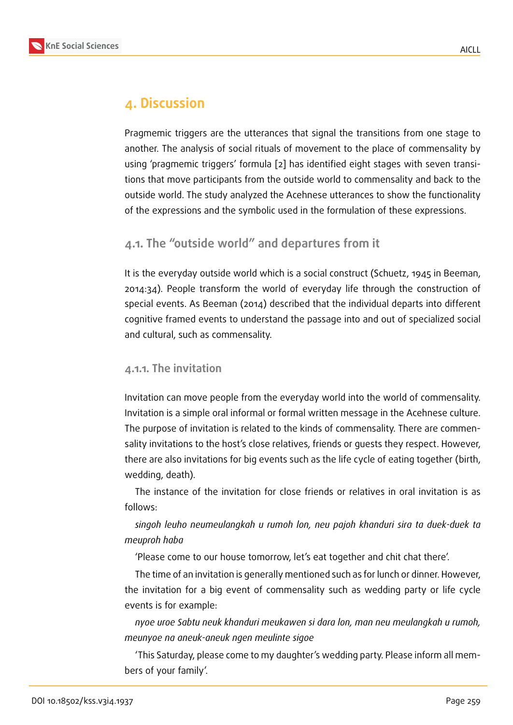# **4. Discussion**

Pragmemic triggers are the utterances that signal the transitions from one stage to another. The analysis of social rituals of movement to the place of commensality by using 'pragmemic triggers' formula [2] has identified eight stages with seven transitions that move participants from the outside world to commensality and back to the outside world. The study analyzed the Acehnese utterances to show the functionality of the expressions and the symbolic [us](#page-9-7)ed in the formulation of these expressions.

### **4.1. The "outside world" and departures from it**

It is the everyday outside world which is a social construct (Schuetz, 1945 in Beeman, 2014:34). People transform the world of everyday life through the construction of special events. As Beeman (2014) described that the individual departs into different cognitive framed events to understand the passage into and out of specialized social and cultural, such as commensality.

#### **4.1.1. The invitation**

Invitation can move people from the everyday world into the world of commensality. Invitation is a simple oral informal or formal written message in the Acehnese culture. The purpose of invitation is related to the kinds of commensality. There are commensality invitations to the host's close relatives, friends or guests they respect. However, there are also invitations for big events such as the life cycle of eating together (birth, wedding, death).

The instance of the invitation for close friends or relatives in oral invitation is as follows:

*singoh leuho neumeulangkah u rumoh lon, neu pajoh khanduri sira ta duek-duek ta meuproh haba*

'Please come to our house tomorrow, let's eat together and chit chat there'.

The time of an invitation is generally mentioned such as for lunch or dinner. However, the invitation for a big event of commensality such as wedding party or life cycle events is for example:

*nyoe uroe Sabtu neuk khanduri meukawen si dara lon, man neu meulangkah u rumoh, meunyoe na aneuk-aneuk ngen meulinte sigoe*

'This Saturday, please come to my daughter's wedding party. Please inform all members of your family'.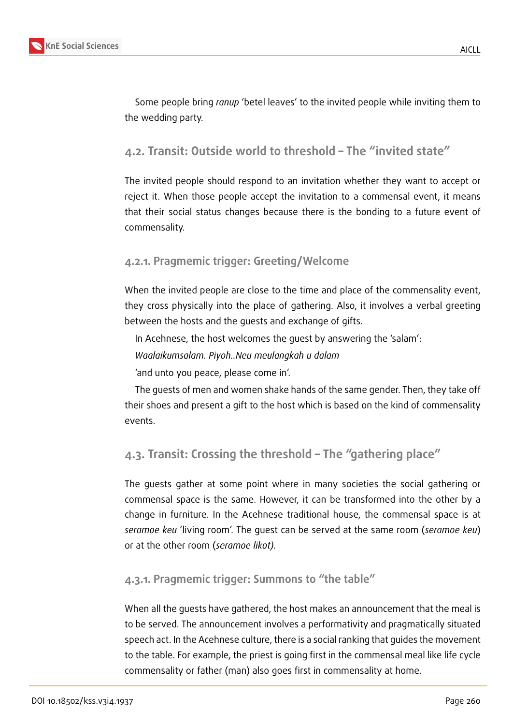

Some people bring *ranup* 'betel leaves' to the invited people while inviting them to the wedding party.

# **4.2. Transit: Outside world to threshold – The "invited state"**

The invited people should respond to an invitation whether they want to accept or reject it. When those people accept the invitation to a commensal event, it means that their social status changes because there is the bonding to a future event of commensality.

### **4.2.1. Pragmemic trigger: Greeting/Welcome**

When the invited people are close to the time and place of the commensality event, they cross physically into the place of gathering. Also, it involves a verbal greeting between the hosts and the guests and exchange of gifts.

In Acehnese, the host welcomes the guest by answering the 'salam':

*Waalaikumsalam. Piyoh..Neu meulangkah u dalam*

'and unto you peace, please come in'.

The guests of men and women shake hands of the same gender. Then, they take off their shoes and present a gift to the host which is based on the kind of commensality events.

## **4.3. Transit: Crossing the threshold – The "gathering place"**

The guests gather at some point where in many societies the social gathering or commensal space is the same. However, it can be transformed into the other by a change in furniture. In the Acehnese traditional house, the commensal space is at *seramoe keu* 'living room'. The guest can be served at the same room (*seramoe keu*) or at the other room (*seramoe likot).*

### **4.3.1. Pragmemic trigger: Summons to "the table"**

When all the guests have gathered, the host makes an announcement that the meal is to be served. The announcement involves a performativity and pragmatically situated speech act. In the Acehnese culture, there is a social ranking that guides the movement to the table. For example, the priest is going first in the commensal meal like life cycle commensality or father (man) also goes first in commensality at home.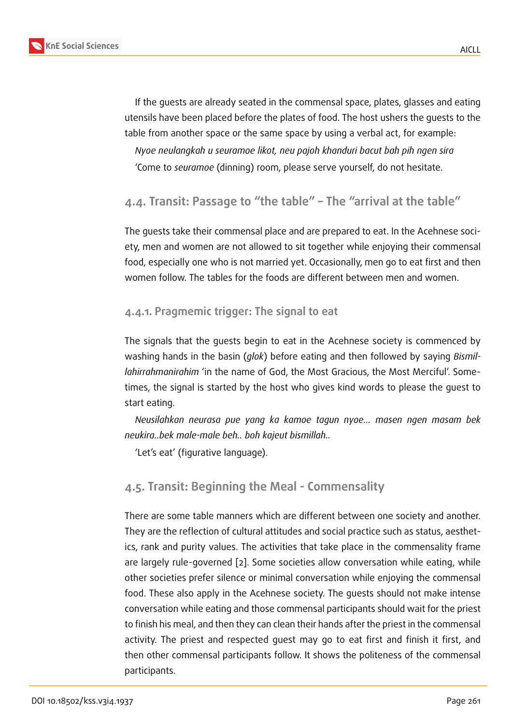If the guests are already seated in the commensal space, plates, glasses and eating utensils have been placed before the plates of food. The host ushers the guests to the table from another space or the same space by using a verbal act, for example:

*Nyoe neulangkah u seuramoe likot, neu pajoh khanduri bacut bah pih ngen sira* 'Come to *seuramoe* (dinning) room, please serve yourself, do not hesitate.

### **4.4. Transit: Passage to "the table" – The "arrival at the table"**

The guests take their commensal place and are prepared to eat. In the Acehnese society, men and women are not allowed to sit together while enjoying their commensal food, especially one who is not married yet. Occasionally, men go to eat first and then women follow. The tables for the foods are different between men and women.

#### **4.4.1. Pragmemic trigger: The signal to eat**

The signals that the guests begin to eat in the Acehnese society is commenced by washing hands in the basin (*glok*) before eating and then followed by saying *Bismillahirrahmanirahim* 'in the name of God, the Most Gracious, the Most Merciful'. Sometimes, the signal is started by the host who gives kind words to please the guest to start eating.

*Neusilahkan neurasa pue yang ka kamoe tagun nyoe… masen ngen masam bek neukira..bek male-male beh.. boh kajeut bismillah..*

'Let's eat' (figurative language).

### **4.5. Transit: Beginning the Meal - Commensality**

There are some table manners which are different between one society and another. They are the reflection of cultural attitudes and social practice such as status, aesthetics, rank and purity values. The activities that take place in the commensality frame are largely rule-governed [2]. Some societies allow conversation while eating, while other societies prefer silence or minimal conversation while enjoying the commensal food. These also apply in the Acehnese society. The guests should not make intense conversation while eating [an](#page-9-7)d those commensal participants should wait for the priest to finish his meal, and then they can clean their hands after the priest in the commensal activity. The priest and respected guest may go to eat first and finish it first, and then other commensal participants follow. It shows the politeness of the commensal participants.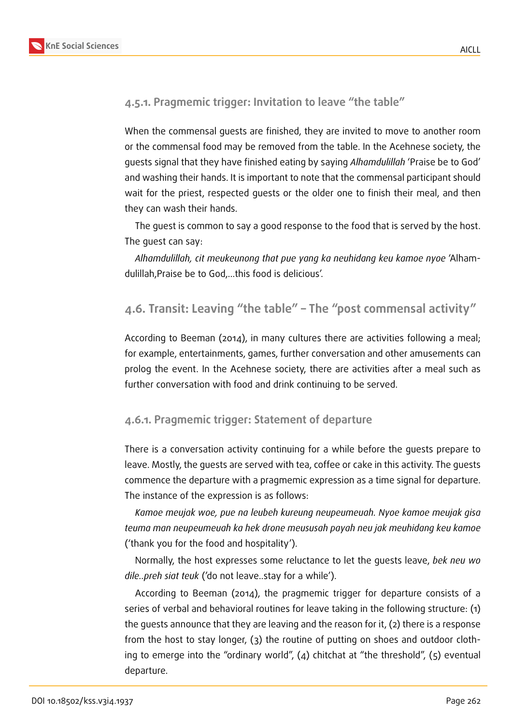

#### **4.5.1. Pragmemic trigger: Invitation to leave "the table"**

When the commensal guests are finished, they are invited to move to another room or the commensal food may be removed from the table. In the Acehnese society, the guests signal that they have finished eating by saying *Alhamdulillah* 'Praise be to God' and washing their hands. It is important to note that the commensal participant should wait for the priest, respected guests or the older one to finish their meal, and then they can wash their hands.

The guest is common to say a good response to the food that is served by the host. The guest can say:

*Alhamdulillah, cit meukeunong that pue yang ka neuhidang keu kamoe nyoe* 'Alhamdulillah,Praise be to God,…this food is delicious'.

### **4.6. Transit: Leaving "the table" – The "post commensal activity"**

According to Beeman (2014), in many cultures there are activities following a meal; for example, entertainments, games, further conversation and other amusements can prolog the event. In the Acehnese society, there are activities after a meal such as further conversation with food and drink continuing to be served.

#### **4.6.1. Pragmemic trigger: Statement of departure**

There is a conversation activity continuing for a while before the guests prepare to leave. Mostly, the guests are served with tea, coffee or cake in this activity. The guests commence the departure with a pragmemic expression as a time signal for departure. The instance of the expression is as follows:

*Kamoe meujak woe, pue na leubeh kureung neupeumeuah. Nyoe kamoe meujak gisa teuma man neupeumeuah ka hek drone meususah payah neu jak meuhidang keu kamoe* ('thank you for the food and hospitality').

Normally, the host expresses some reluctance to let the guests leave, *bek neu wo dile..preh siat teuk* ('do not leave..stay for a while').

According to Beeman (2014), the pragmemic trigger for departure consists of a series of verbal and behavioral routines for leave taking in the following structure: (1) the guests announce that they are leaving and the reason for it, (2) there is a response from the host to stay longer, (3) the routine of putting on shoes and outdoor clothing to emerge into the "ordinary world",  $(4)$  chitchat at "the threshold",  $(5)$  eventual departure.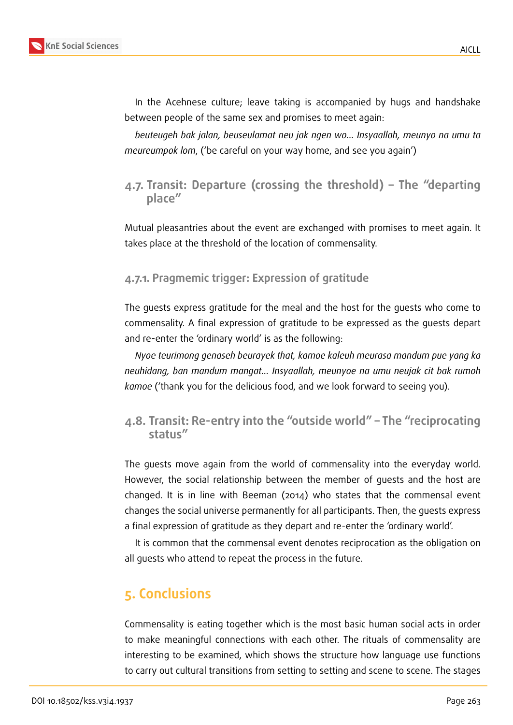In the Acehnese culture; leave taking is accompanied by hugs and handshake between people of the same sex and promises to meet again:

*beuteugeh bak jalan, beuseulamat neu jak ngen wo… Insyaallah, meunyo na umu ta meureumpok lom*, ('be careful on your way home, and see you again')

**4.7. Transit: Departure (crossing the threshold) – The "departing place"**

Mutual pleasantries about the event are exchanged with promises to meet again. It takes place at the threshold of the location of commensality.

### **4.7.1. Pragmemic trigger: Expression of gratitude**

The guests express gratitude for the meal and the host for the guests who come to commensality. A final expression of gratitude to be expressed as the guests depart and re-enter the 'ordinary world' is as the following:

*Nyoe teurimong genaseh beurayek that, kamoe kaleuh meurasa mandum pue yang ka neuhidang, ban mandum mangat… Insyaallah, meunyoe na umu neujak cit bak rumoh kamoe* ('thank you for the delicious food, and we look forward to seeing you).

### **4.8. Transit: Re-entry into the "outside world" – The "reciprocating status"**

The guests move again from the world of commensality into the everyday world. However, the social relationship between the member of guests and the host are changed. It is in line with Beeman (2014) who states that the commensal event changes the social universe permanently for all participants. Then, the guests express a final expression of gratitude as they depart and re-enter the 'ordinary world'.

It is common that the commensal event denotes reciprocation as the obligation on all guests who attend to repeat the process in the future.

# **5. Conclusions**

Commensality is eating together which is the most basic human social acts in order to make meaningful connections with each other. The rituals of commensality are interesting to be examined, which shows the structure how language use functions to carry out cultural transitions from setting to setting and scene to scene. The stages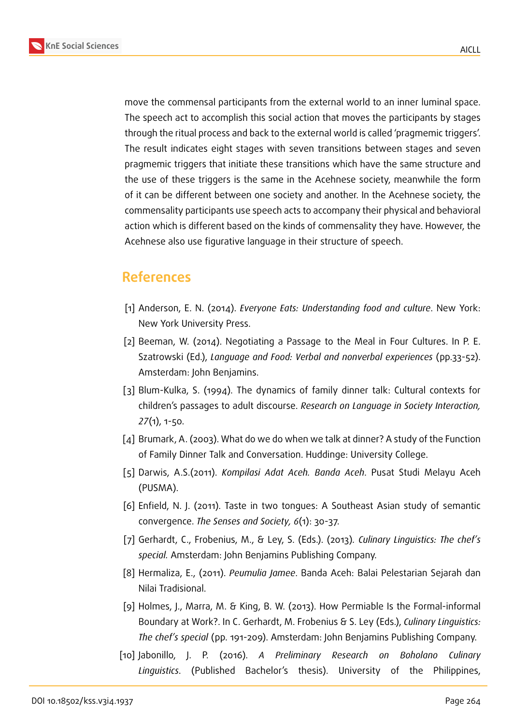

move the commensal participants from the external world to an inner luminal space. The speech act to accomplish this social action that moves the participants by stages through the ritual process and back to the external world is called 'pragmemic triggers'. The result indicates eight stages with seven transitions between stages and seven pragmemic triggers that initiate these transitions which have the same structure and the use of these triggers is the same in the Acehnese society, meanwhile the form of it can be different between one society and another. In the Acehnese society, the commensality participants use speech acts to accompany their physical and behavioral action which is different based on the kinds of commensality they have. However, the Acehnese also use figurative language in their structure of speech.

# **References**

- [1] Anderson, E. N. (2014). *Everyone Eats: Understanding food and culture*. New York: New York University Press.
- <span id="page-9-7"></span>[2] Beeman, W. (2014). Negotiating a Passage to the Meal in Four Cultures. In P. E. Szatrowski (Ed.), *Language and Food: Verbal and nonverbal experiences* (pp.33-52). Amsterdam: John Benjamins.
- <span id="page-9-4"></span>[3] Blum-Kulka, S. (1994). The dynamics of family dinner talk: Cultural contexts for children's passages to adult discourse. *Research on Language in Society Interaction, 27*(1), 1-50.
- <span id="page-9-5"></span>[4] Brumark, A. (2003). What do we do when we talk at dinner? A study of the Function of Family Dinner Talk and Conversation. Huddinge: University College.
- [5] Darwis, A.S.(2011). *Kompilasi Adat Aceh. Banda Aceh*. Pusat Studi Melayu Aceh (PUSMA).
- <span id="page-9-1"></span>[6] Enfield, N. J. (2011). Taste in two tongues: A Southeast Asian study of semantic convergence. *The Senses and Society, 6*(1): 30-37.
- <span id="page-9-0"></span>[7] Gerhardt, C., Frobenius, M., & Ley, S. (Eds.). (2013)*. Culinary Linguistics: The chef's special.* Amsterdam: John Benjamins Publishing Company.
- <span id="page-9-6"></span>[8] Hermaliza, E., (2011). *Peumulia Jamee*. Banda Aceh: Balai Pelestarian Sejarah dan Nilai Tradisional.
- <span id="page-9-2"></span>[9] Holmes, J., Marra, M. & King, B. W. (2013). How Permiable Is the Formal-informal Boundary at Work?. In C. Gerhardt, M. Frobenius & S. Ley (Eds.), *Culinary Linguistics: The chef's special* (pp. 191-209). Amsterdam: John Benjamins Publishing Company.
- <span id="page-9-3"></span>[10] Jabonillo, J. P. (2016). *A Preliminary Research on Boholano Culinary Linguistics*. (Published Bachelor's thesis). University of the Philippines,